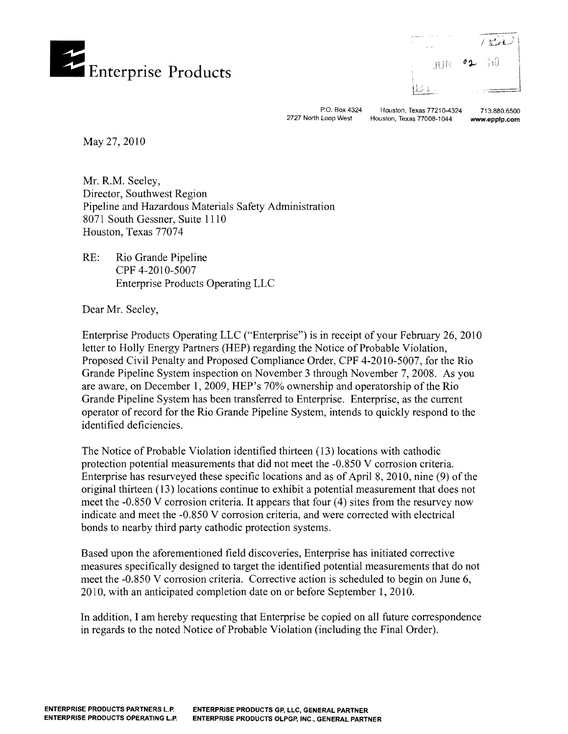



P.O. Box 4324 Houston, Texas 77210-4324 713.880.6500<br>2727 North Loop West Houston, Texas 77008-1044 www.epplp.com

Houston, Texas 77008-1044 www.epplp.com

May 27,2010

Mr. R.M. Seeley, Director, Southwest Region Pipeline and Hazardous Materials Safety Administration 8071 South Gessner, Suite 1110 Houston, Texas 77074

RE: Rio Grande Pipeline CPF 4-2010-5007 Enterprise Products Operating LLC

Dear Mr. Seeley,

Enterprise Products Operating LLC ("Enterprise") is in receipt of your February 26,2010 letter to Holly Energy Partners (HEP) regarding the Notice of Probable Violation, Proposed Civil Penalty and Proposed Compliance Order, CPF 4-2010-5007, for the Rio Grande Pipeline System inspection on November 3 through November 7,2008. As you are aware, on December 1,2009, HEP's 70% ownership and operatorship of the Rio Grande Pipeline System has been transferred to Enterprise. Enterprise, as the current operator of record for the Rio Grande Pipeline System, intends to quickly respond to the identified deficiencies.

The Notice of Probable Violation identified thirteen (13) locations with cathodic protection potential measurements that did not meet the -0.850 V corrosion criteria. Enterprise has resurveyed these specific locations and as of April 8, 2010, nine  $(9)$  of the original thirteen (13) locations continue to exhibit a potential measurement that does not meet the -0.850 V corrosion criteria. It appears that four (4) sites from the resurvey now indicate and meet the -0.850 V corrosion criteria, and were corrected with electrical bonds to nearby third party cathodic protection systems.

Based upon the aforementioned field discoveries, Enterprise has initiated corrective measures specifically designed to target the identified potential measurements that do not meet the -0.850 V corrosion criteria. Corrective action is scheduled to begin on June 6, 2010, with an anticipated completion date on or before September 1, 2010.

In addition, I am hereby requesting that Enterprise be copied on all future correspondence in regards to the noted Notice of Probable Violation (including the Final Order).